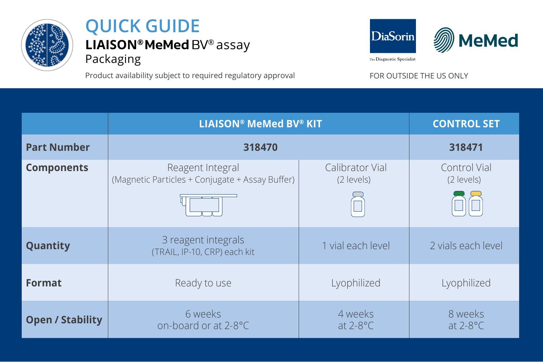

## **LIAISON® MeMed BV®** assay Packaging **QUICK GUIDE**

Product availability subject to required regulatory approval FOR OUTSIDE THE US ONLY



|                         | <b>LIAISON® MeMed BV® KIT</b>                                       |                               | <b>CONTROL SET</b>         |
|-------------------------|---------------------------------------------------------------------|-------------------------------|----------------------------|
| <b>Part Number</b>      | 318470                                                              |                               | 318471                     |
| <b>Components</b>       | Reagent Integral<br>(Magnetic Particles + Conjugate + Assay Buffer) | Calibrator Vial<br>(2 levels) | Control Vial<br>(2 levels) |
| Quantity                | 3 reagent integrals<br>(TRAIL, IP-10, CRP) each kit                 | 1 vial each level             | 2 vials each level         |
| Format                  | Ready to use                                                        | Lyophilized                   | Lyophilized                |
| <b>Open / Stability</b> | 6 weeks<br>on-board or at 2-8°C                                     | 4 weeks<br>at $2-8$ °C        | 8 weeks<br>at $2-8$ °C     |